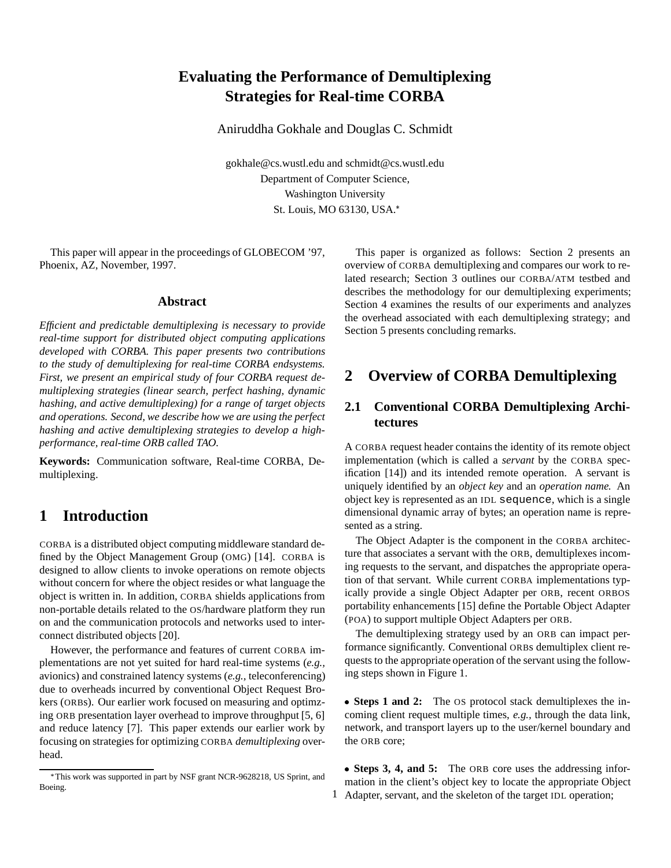# **Evaluating the Performance of Demultiplexing Strategies for Real-time CORBA**

Aniruddha Gokhale and Douglas C. Schmidt

gokhale@cs.wustl.edu and schmidt@cs.wustl.edu Department of Computer Science, Washington University St. Louis, MO 63130, USA.

This paper will appear in the proceedings of GLOBECOM '97, Phoenix, AZ, November, 1997.

#### **Abstract**

*Efficient and predictable demultiplexing is necessary to provide real-time support for distributed object computing applications developed with CORBA. This paper presents two contributions to the study of demultiplexing for real-time CORBA endsystems. First, we present an empirical study of four CORBA request demultiplexing strategies (linear search, perfect hashing, dynamic hashing, and active demultiplexing) for a range of target objects and operations. Second, we describe how we are using the perfect hashing and active demultiplexing strategies to develop a highperformance, real-time ORB called TAO.*

**Keywords:** Communication software, Real-time CORBA, Demultiplexing.

## **1 Introduction**

CORBA is a distributed object computing middleware standard defined by the Object Management Group (OMG) [14]. CORBA is designed to allow clients to invoke operations on remote objects without concern for where the object resides or what language the object is written in. In addition, CORBA shields applications from non-portable details related to the OS/hardware platform they run on and the communication protocols and networks used to interconnect distributed objects [20].

However, the performance and features of current CORBA implementations are not yet suited for hard real-time systems (*e.g.,* avionics) and constrained latency systems (*e.g.,* teleconferencing) due to overheads incurred by conventional Object Request Brokers (ORBs). Our earlier work focused on measuring and optimzing ORB presentation layer overhead to improve throughput [5, 6] and reduce latency [7]. This paper extends our earlier work by focusing on strategies for optimizing CORBA *demultiplexing* overhead.

This paper is organized as follows: Section 2 presents an overview of CORBA demultiplexing and compares our work to related research; Section 3 outlines our CORBA/ATM testbed and describes the methodology for our demultiplexing experiments; Section 4 examines the results of our experiments and analyzes the overhead associated with each demultiplexing strategy; and Section 5 presents concluding remarks.

# **2 Overview of CORBA Demultiplexing**

### **2.1 Conventional CORBA Demultiplexing Architectures**

A CORBA request header contains the identity of its remote object implementation (which is called a *servant* by the CORBA specification [14]) and its intended remote operation. A servant is uniquely identified by an *object key* and an *operation name.* An object key is represented as an IDL sequence, which is a single dimensional dynamic array of bytes; an operation name is represented as a string.

The Object Adapter is the component in the CORBA architecture that associates a servant with the ORB, demultiplexes incoming requests to the servant, and dispatches the appropriate operation of that servant. While current CORBA implementations typically provide a single Object Adapter per ORB, recent ORBOS portability enhancements [15] define the Portable Object Adapter (POA) to support multiple Object Adapters per ORB.

The demultiplexing strategy used by an ORB can impact performance significantly. Conventional ORBs demultiplex client requests to the appropriate operation of the servant using the following steps shown in Figure 1.

 **Steps 1 and 2:** The OS protocol stack demultiplexes the incoming client request multiple times, *e.g.,* through the data link, network, and transport layers up to the user/kernel boundary and the ORB core;

 **Steps 3, 4, and 5:** The ORB core uses the addressing information in the client's object key to locate the appropriate Object 1 Adapter, servant, and the skeleton of the target IDL operation;

This work was supported in part by NSF grant NCR-9628218, US Sprint, and Boeing.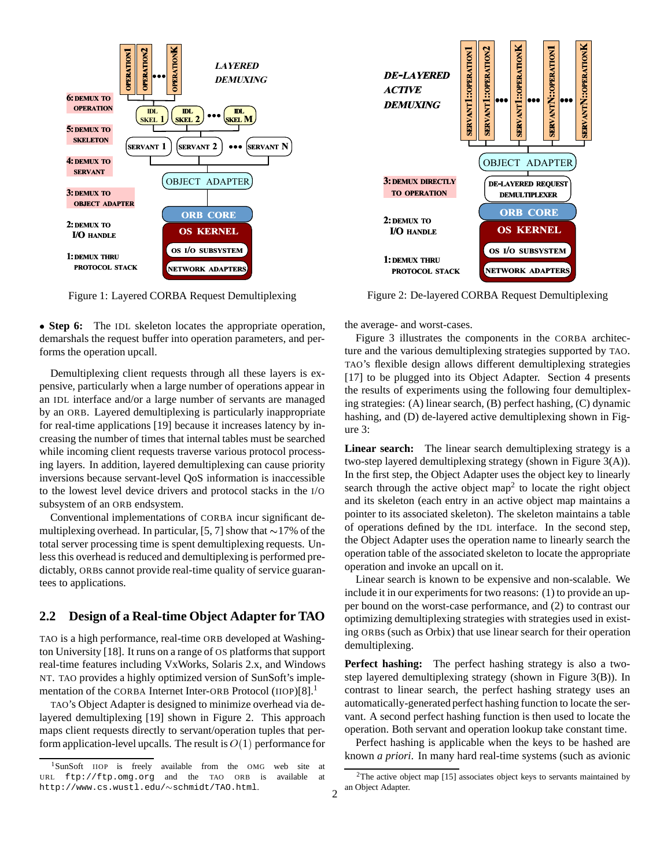

Figure 1: Layered CORBA Request Demultiplexing

 **Step 6:** The IDL skeleton locates the appropriate operation, demarshals the request buffer into operation parameters, and performs the operation upcall.

Demultiplexing client requests through all these layers is expensive, particularly when a large number of operations appear in an IDL interface and/or a large number of servants are managed by an ORB. Layered demultiplexing is particularly inappropriate for real-time applications [19] because it increases latency by increasing the number of times that internal tables must be searched while incoming client requests traverse various protocol processing layers. In addition, layered demultiplexing can cause priority inversions because servant-level QoS information is inaccessible to the lowest level device drivers and protocol stacks in the I/O subsystem of an ORB endsystem.

Conventional implementations of CORBA incur significant demultiplexing overhead. In particular, [5, 7] show that  $\sim$ 17% of the total server processing time is spent demultiplexing requests. Unless this overhead is reduced and demultiplexing is performed predictably, ORBs cannot provide real-time quality of service guarantees to applications.

### **2.2 Design of a Real-time Object Adapter for TAO**

TAO is a high performance, real-time ORB developed at Washington University [18]. It runs on a range of OS platforms that support real-time features including VxWorks, Solaris 2.x, and Windows NT. TAO provides a highly optimized version of SunSoft's implementation of the CORBA Internet Inter-ORB Protocol (IIOP)[8].<sup>1</sup>

TAO's Object Adapter is designed to minimize overhead via delayered demultiplexing [19] shown in Figure 2. This approach maps client requests directly to servant/operation tuples that perform application-level upcalls. The result is  $O(1)$  performance for



Figure 2: De-layered CORBA Request Demultiplexing

the average- and worst-cases.

Figure 3 illustrates the components in the CORBA architecture and the various demultiplexing strategies supported by TAO. TAO's flexible design allows different demultiplexing strategies [17] to be plugged into its Object Adapter. Section 4 presents the results of experiments using the following four demultiplexing strategies: (A) linear search, (B) perfect hashing, (C) dynamic hashing, and (D) de-layered active demultiplexing shown in Figure 3:

Linear search: The linear search demultiplexing strategy is a two-step layered demultiplexing strategy (shown in Figure 3(A)). In the first step, the Object Adapter uses the object key to linearly search through the active object map<sup>2</sup> to locate the right object and its skeleton (each entry in an active object map maintains a pointer to its associated skeleton). The skeleton maintains a table of operations defined by the IDL interface. In the second step, the Object Adapter uses the operation name to linearly search the operation table of the associated skeleton to locate the appropriate operation and invoke an upcall on it.

Linear search is known to be expensive and non-scalable. We include it in our experiments for two reasons: (1) to provide an upper bound on the worst-case performance, and (2) to contrast our optimizing demultiplexing strategies with strategies used in existing ORBs (such as Orbix) that use linear search for their operation demultiplexing.

**Perfect hashing:** The perfect hashing strategy is also a twostep layered demultiplexing strategy (shown in Figure 3(B)). In contrast to linear search, the perfect hashing strategy uses an automatically-generated perfect hashing function to locate the servant. A second perfect hashing function is then used to locate the operation. Both servant and operation lookup take constant time.

Perfect hashing is applicable when the keys to be hashed are known *a priori*. In many hard real-time systems (such as avionic

<sup>1</sup>SunSoft IIOP is freely available from the OMG web site at URL ftp://ftp.omg.org and the TAO ORB is available at http://www.cs.wustl.edu/~schmidt/TAO.html.

 $2$ The active object map [15] associates object keys to servants maintained by 2 an Object Adapter.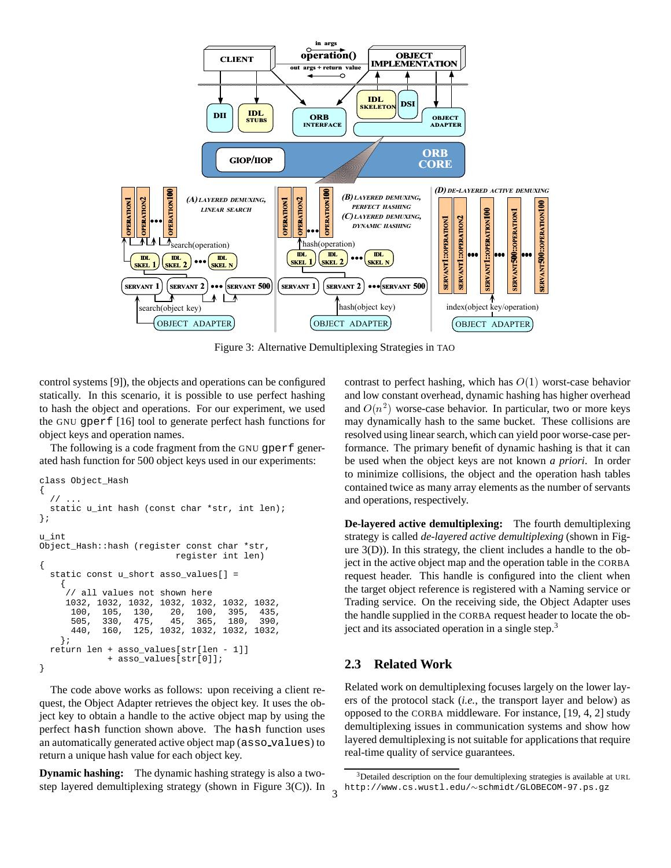

Figure 3: Alternative Demultiplexing Strategies in TAO

control systems [9]), the objects and operations can be configured statically. In this scenario, it is possible to use perfect hashing to hash the object and operations. For our experiment, we used the GNU gperf [16] tool to generate perfect hash functions for object keys and operation names.

The following is a code fragment from the GNU qperf generated hash function for 500 object keys used in our experiments:

```
class Object_Hash
{
  / /static u_int hash (const char *str, int len);
};
u_int
Object_Hash::hash (register const char *str,
                            register int len)
{
  static const u_short asso_values[] =
    {
     // all values not shown here
     1032, 1032, 1032, 1032, 1032, 1032, 1032,
      100, 105, 130, 20, 100, 395, 435,
      505, 330, 475, 45, 365,<br>440, 160, 125, 1032, 1032,
                  440, 160, 125, 1032, 1032, 1032, 1032,
    };
  return len + asso_values[str[len - 1]]
                asso_values[str[0]];
}
```
The code above works as follows: upon receiving a client request, the Object Adapter retrieves the object key. It uses the object key to obtain a handle to the active object map by using the perfect hash function shown above. The hash function uses an automatically generated active object map (asso values) to return a unique hash value for each object key.

**Dynamic hashing:** The dynamic hashing strategy is also a twostep layered demultiplexing strategy (shown in Figure 3(C)). In contrast to perfect hashing, which has  $O(1)$  worst-case behavior and low constant overhead, dynamic hashing has higher overhead and  $O(n^2)$  worse-case behavior. In particular, two or more keys may dynamically hash to the same bucket. These collisions are resolved using linear search, which can yield poor worse-case performance. The primary benefit of dynamic hashing is that it can be used when the object keys are not known *a priori*. In order to minimize collisions, the object and the operation hash tables contained twice as many array elements as the number of servants and operations, respectively.

**De-layered active demultiplexing:** The fourth demultiplexing strategy is called *de-layered active demultiplexing* (shown in Figure 3(D)). In this strategy, the client includes a handle to the object in the active object map and the operation table in the CORBA request header. This handle is configured into the client when the target object reference is registered with a Naming service or Trading service. On the receiving side, the Object Adapter uses the handle supplied in the CORBA request header to locate the object and its associated operation in a single step.<sup>3</sup>

#### **2.3 Related Work**

Related work on demultiplexing focuses largely on the lower layers of the protocol stack (*i.e.*, the transport layer and below) as opposed to the CORBA middleware. For instance, [19, 4, 2] study demultiplexing issues in communication systems and show how layered demultiplexing is not suitable for applications that require real-time quality of service guarantees.

<sup>&</sup>lt;sup>3</sup>Detailed description on the four demultiplexing strategies is available at URL http://www.cs.wustl.edu/~schmidt/GLOBECOM-97.ps.gz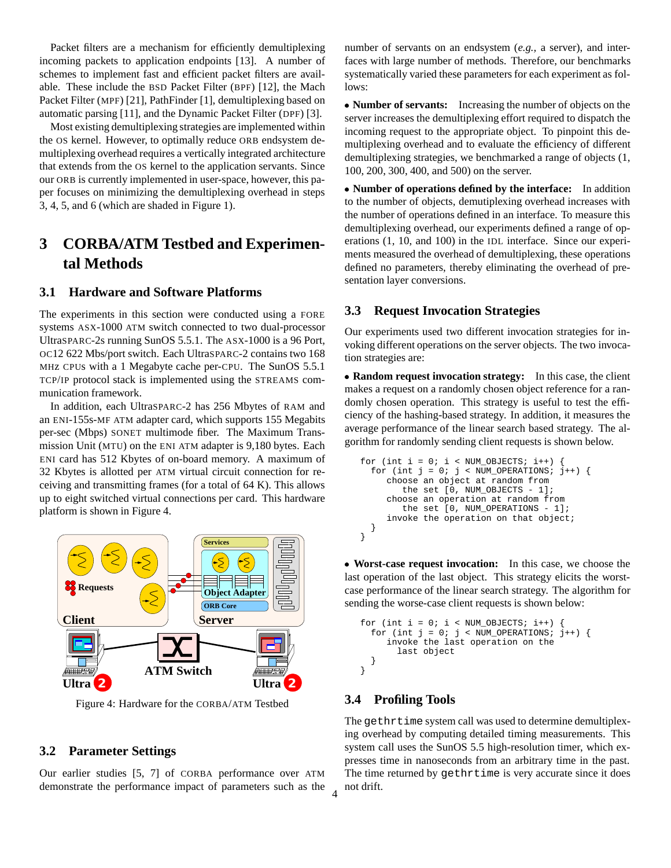Packet filters are a mechanism for efficiently demultiplexing incoming packets to application endpoints [13]. A number of schemes to implement fast and efficient packet filters are available. These include the BSD Packet Filter (BPF) [12], the Mach Packet Filter (MPF) [21], PathFinder [1], demultiplexing based on automatic parsing [11], and the Dynamic Packet Filter (DPF) [3].

Most existing demultiplexing strategies are implemented within the OS kernel. However, to optimally reduce ORB endsystem demultiplexing overhead requires a vertically integrated architecture that extends from the OS kernel to the application servants. Since our ORB is currently implemented in user-space, however, this paper focuses on minimizing the demultiplexing overhead in steps 3, 4, 5, and 6 (which are shaded in Figure 1).

# **3 CORBA/ATM Testbed and Experimental Methods**

### **3.1 Hardware and Software Platforms**

The experiments in this section were conducted using a FORE systems ASX-1000 ATM switch connected to two dual-processor UltraSPARC-2s running SunOS 5.5.1. The ASX-1000 is a 96 Port, OC12 622 Mbs/port switch. Each UltraSPARC-2 contains two 168 MHz CPUs with a 1 Megabyte cache per-CPU. The SunOS 5.5.1 TCP/IP protocol stack is implemented using the STREAMS communication framework.

In addition, each UltraSPARC-2 has 256 Mbytes of RAM and an ENI-155s-MF ATM adapter card, which supports 155 Megabits per-sec (Mbps) SONET multimode fiber. The Maximum Transmission Unit (MTU) on the ENI ATM adapter is 9,180 bytes. Each ENI card has 512 Kbytes of on-board memory. A maximum of 32 Kbytes is allotted per ATM virtual circuit connection for receiving and transmitting frames (for a total of 64 K). This allows up to eight switched virtual connections per card. This hardware platform is shown in Figure 4.



Figure 4: Hardware for the CORBA/ATM Testbed

#### **3.2 Parameter Settings**

Our earlier studies [5, 7] of CORBA performance over ATM demonstrate the performance impact of parameters such as the number of servants on an endsystem (*e.g.,* a server), and interfaces with large number of methods. Therefore, our benchmarks systematically varied these parameters for each experiment as follows:

 **Number of servants:** Increasing the number of objects on the server increases the demultiplexing effort required to dispatch the incoming request to the appropriate object. To pinpoint this demultiplexing overhead and to evaluate the efficiency of different demultiplexing strategies, we benchmarked a range of objects (1, 100, 200, 300, 400, and 500) on the server.

 **Number of operations defined by the interface:** In addition to the number of objects, demutiplexing overhead increases with the number of operations defined in an interface. To measure this demultiplexing overhead, our experiments defined a range of operations (1, 10, and 100) in the IDL interface. Since our experiments measured the overhead of demultiplexing, these operations defined no parameters, thereby eliminating the overhead of presentation layer conversions.

#### **3.3 Request Invocation Strategies**

Our experiments used two different invocation strategies for invoking different operations on the server objects. The two invocation strategies are:

 **Random request invocation strategy:** In this case, the client makes a request on a randomly chosen object reference for a randomly chosen operation. This strategy is useful to test the efficiency of the hashing-based strategy. In addition, it measures the average performance of the linear search based strategy. The algorithm for randomly sending client requests is shown below.

```
for (int i = 0; i < NUM_OBJECTS; i++) {
  for (int j = 0; j < NUM_OPERATIONS; j++) {
     choose an object at random from
        the set [0, NUM_OBJECTS - 1];
     choose an operation at random from
        the set [0, NUM_OPERATIONS - 1];
     invoke the operation on that object;
  }
}
```
 **Worst-case request invocation:** In this case, we choose the last operation of the last object. This strategy elicits the worstcase performance of the linear search strategy. The algorithm for sending the worse-case client requests is shown below:

```
for (int i = 0; i < NUM_OBJECTS; i++)for (int j = 0; j < NUM_OPERATIONS; j++) {
     invoke the last operation on the
       last object
  }
}
```
#### **3.4 Profiling Tools**

The gethrtime system call was used to determine demultiplexing overhead by computing detailed timing measurements. This system call uses the SunOS 5.5 high-resolution timer, which expresses time in nanoseconds from an arbitrary time in the past. The time returned by gethrtime is very accurate since it does not drift. <sup>4</sup>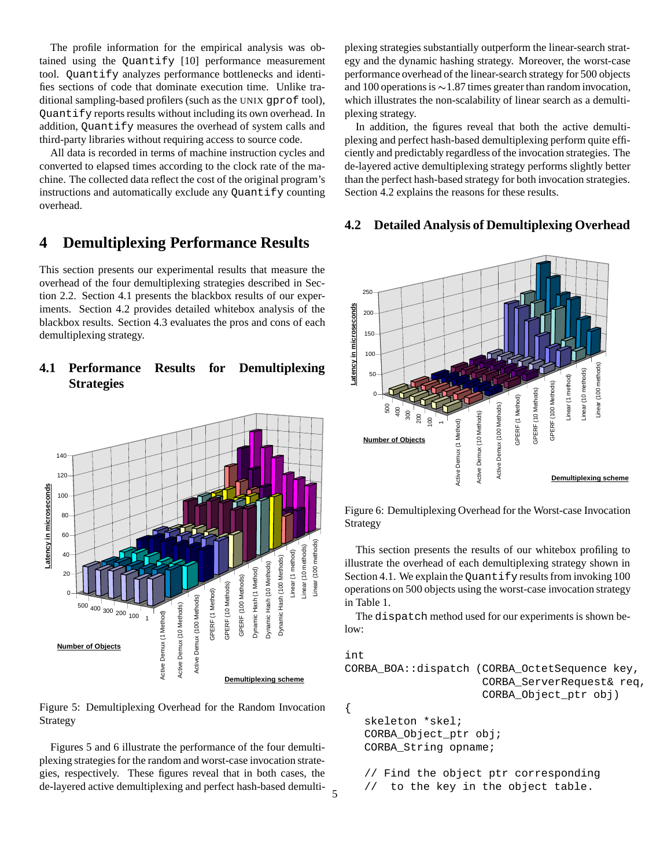The profile information for the empirical analysis was obtained using the Quantify [10] performance measurement tool. Quantify analyzes performance bottlenecks and identifies sections of code that dominate execution time. Unlike traditional sampling-based profilers (such as the UNIX gprof tool), Quantify reports results without including its own overhead. In addition, Quantify measures the overhead of system calls and third-party libraries without requiring access to source code.

All data is recorded in terms of machine instruction cycles and converted to elapsed times according to the clock rate of the machine. The collected data reflect the cost of the original program's instructions and automatically exclude any Quantify counting overhead.

# **4 Demultiplexing Performance Results**

This section presents our experimental results that measure the overhead of the four demultiplexing strategies described in Section 2.2. Section 4.1 presents the blackbox results of our experiments. Section 4.2 provides detailed whitebox analysis of the blackbox results. Section 4.3 evaluates the pros and cons of each demultiplexing strategy.

### **4.1 Performance Results for Demultiplexing Strategies**



Figure 5: Demultiplexing Overhead for the Random Invocation Strategy

Figures 5 and 6 illustrate the performance of the four demultiplexing strategies for the random and worst-case invocation strategies, respectively. These figures reveal that in both cases, the de-layered active demultiplexing and perfect hash-based demultiplexing strategies substantially outperform the linear-search strategy and the dynamic hashing strategy. Moreover, the worst-case performance overhead of the linear-search strategy for 500 objects and 100 operations is  $\sim$  1.87 times greater than random invocation, which illustrates the non-scalability of linear search as a demultiplexing strategy.

In addition, the figures reveal that both the active demultiplexing and perfect hash-based demultiplexing perform quite efficiently and predictably regardless of the invocation strategies. The de-layered active demultiplexing strategy performs slightly better than the perfect hash-based strategy for both invocation strategies. Section 4.2 explains the reasons for these results.

#### **4.2 Detailed Analysis of Demultiplexing Overhead**



Figure 6: Demultiplexing Overhead for the Worst-case Invocation Strategy

This section presents the results of our whitebox profiling to illustrate the overhead of each demultiplexing strategy shown in Section 4.1. We explain the Quantify results from invoking 100 operations on 500 objects using the worst-case invocation strategy in Table 1.

The dispatch method used for our experiments is shown below:

```
int
CORBA_BOA::dispatch (CORBA_OctetSequence key,
                     CORBA_ServerRequest& req,
                     CORBA_Object_ptr obj)
{
   skeleton *skel;
   CORBA_Object_ptr obj;
   CORBA_String opname;
   // Find the object ptr corresponding
```

```
to the key in the object table.
```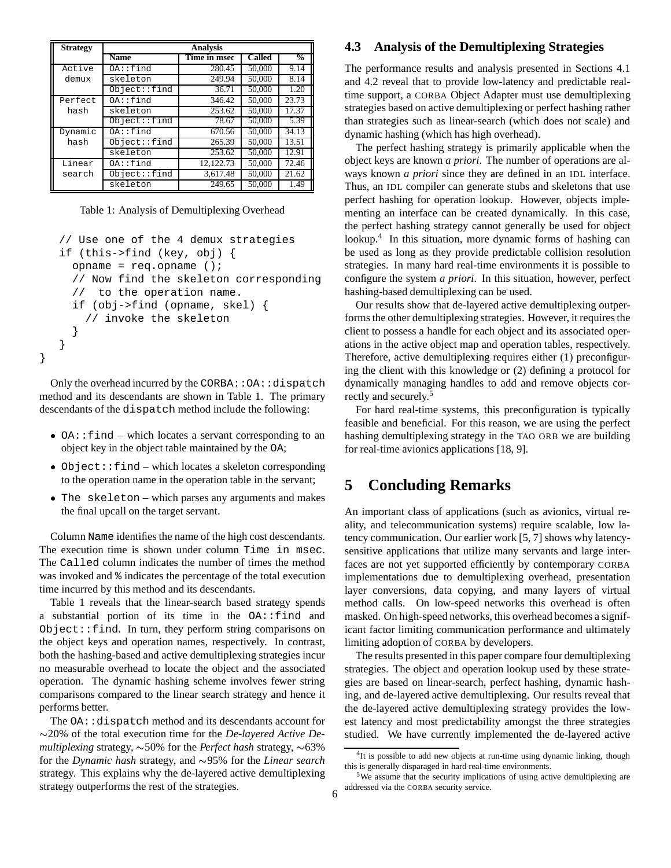| <b>Strategy</b> | <b>Analysis</b> |              |        |               |
|-----------------|-----------------|--------------|--------|---------------|
|                 | <b>Name</b>     | Time in msec | Called | $\frac{0}{0}$ |
| Active          | 0A::find        | 280.45       | 50,000 | 9.14          |
| demux           | skeleton        | 249.94       | 50,000 | 8.14          |
|                 | Object::find    | 36.71        | 50,000 | 1.20          |
| Perfect         | $OA$ ::find     | 346.42       | 50,000 | 23.73         |
| hash            | skeleton        | 253.62       | 50,000 | 17.37         |
|                 | Object::find    | 78.67        | 50,000 | 5.39          |
| Dynamic         | $OA$ ::find     | 670.56       | 50,000 | 34.13         |
| hash            | Object:find     | 265.39       | 50,000 | 13.51         |
|                 | skeleton        | 253.62       | 50,000 | 12.91         |
| Linear          | $OA$ ::find     | 12.122.73    | 50,000 | 72.46         |
| search          | Object::find    | 3.617.48     | 50,000 | 21.62         |
|                 | skeleton        | 249.65       | 50,000 | 1.49          |

Table 1: Analysis of Demultiplexing Overhead

```
// Use one of the 4 demux strategies
if (this->find (key, obj) {
  opname = req.opname ();
  // Now find the skeleton corresponding
  // to the operation name.
  if (obj->find (opname, skel) {
    // invoke the skeleton
  }
}
```
Only the overhead incurred by the CORBA: : OA: : dispatch method and its descendants are shown in Table 1. The primary descendants of the dispatch method include the following:

}

- OA::find which locates a servant corresponding to an object key in the object table maintained by the OA;
- Object::find which locates a skeleton corresponding to the operation name in the operation table in the servant;
- The skeleton which parses any arguments and makes the final upcall on the target servant.

Column Name identifies the name of the high cost descendants. The execution time is shown under column Time in msec. The Called column indicates the number of times the method was invoked and % indicates the percentage of the total execution time incurred by this method and its descendants.

Table 1 reveals that the linear-search based strategy spends a substantial portion of its time in the OA::find and Object::find. In turn, they perform string comparisons on the object keys and operation names, respectively. In contrast, both the hashing-based and active demultiplexing strategies incur no measurable overhead to locate the object and the associated operation. The dynamic hashing scheme involves fewer string comparisons compared to the linear search strategy and hence it performs better.

The OA:: dispatch method and its descendants account for 20% of the total execution time for the *De-layered Active De* $multiplexing strategy, \sim 50\%$  for the *Perfect hash* strategy,  $\sim 63\%$ for the *Dynamic hash* strategy, and  $\sim$ 95% for the *Linear search* strategy. This explains why the de-layered active demultiplexing strategy outperforms the rest of the strategies.

#### **4.3 Analysis of the Demultiplexing Strategies**

The performance results and analysis presented in Sections 4.1 and 4.2 reveal that to provide low-latency and predictable realtime support, a CORBA Object Adapter must use demultiplexing strategies based on active demultiplexing or perfect hashing rather than strategies such as linear-search (which does not scale) and dynamic hashing (which has high overhead).

The perfect hashing strategy is primarily applicable when the object keys are known *a priori*. The number of operations are always known *a priori* since they are defined in an IDL interface. Thus, an IDL compiler can generate stubs and skeletons that use perfect hashing for operation lookup. However, objects implementing an interface can be created dynamically. In this case, the perfect hashing strategy cannot generally be used for object lookup.<sup>4</sup> In this situation, more dynamic forms of hashing can be used as long as they provide predictable collision resolution strategies. In many hard real-time environments it is possible to configure the system *a priori*. In this situation, however, perfect hashing-based demultiplexing can be used.

Our results show that de-layered active demultiplexing outperforms the other demultiplexing strategies. However, it requires the client to possess a handle for each object and its associated operations in the active object map and operation tables, respectively. Therefore, active demultiplexing requires either (1) preconfiguring the client with this knowledge or (2) defining a protocol for dynamically managing handles to add and remove objects correctly and securely.<sup>5</sup>

For hard real-time systems, this preconfiguration is typically feasible and beneficial. For this reason, we are using the perfect hashing demultiplexing strategy in the TAO ORB we are building for real-time avionics applications [18, 9].

### **5 Concluding Remarks**

An important class of applications (such as avionics, virtual reality, and telecommunication systems) require scalable, low latency communication. Our earlier work [5, 7] shows why latencysensitive applications that utilize many servants and large interfaces are not yet supported efficiently by contemporary CORBA implementations due to demultiplexing overhead, presentation layer conversions, data copying, and many layers of virtual method calls. On low-speed networks this overhead is often masked. On high-speed networks, this overhead becomes a significant factor limiting communication performance and ultimately limiting adoption of CORBA by developers.

The results presented in this paper compare four demultiplexing strategies. The object and operation lookup used by these strategies are based on linear-search, perfect hashing, dynamic hashing, and de-layered active demultiplexing. Our results reveal that the de-layered active demultiplexing strategy provides the lowest latency and most predictability amongst the three strategies studied. We have currently implemented the de-layered active

<sup>&</sup>lt;sup>4</sup>It is possible to add new objects at run-time using dynamic linking, though this is generally disparaged in hard real-time environments.

<sup>5</sup>We assume that the security implications of using active demultiplexing are addressed via the CORBA security service. <sup>6</sup>